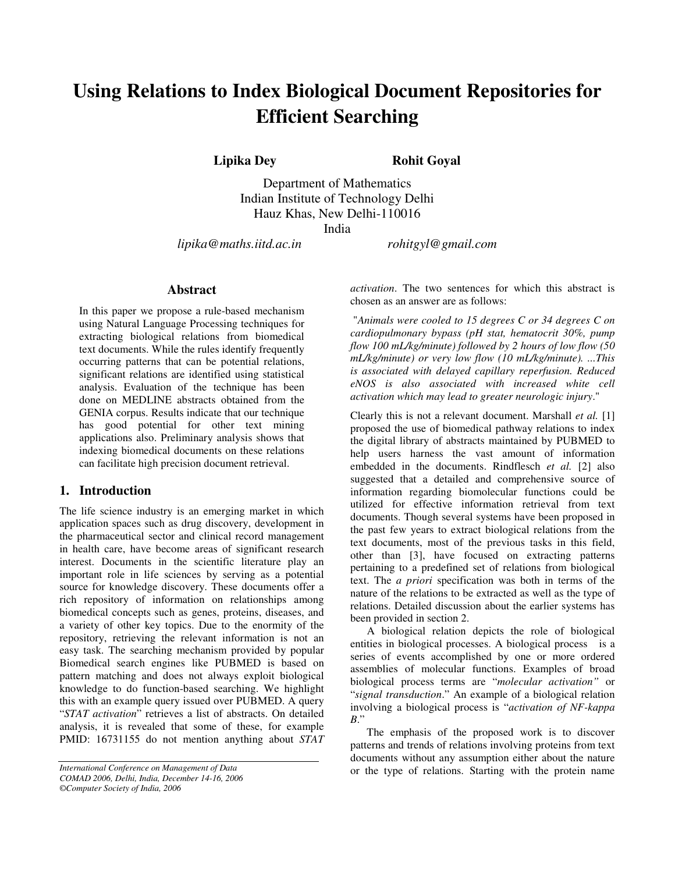# **Using Relations to Index Biological Document Repositories for Efficient Searching**

**Lipika Dey Rohit Goyal**

Department of Mathematics Indian Institute of Technology Delhi Hauz Khas, New Delhi-110016

India

*lipika@maths.iitd.ac.in rohitgyl@gmail.com*

## **Abstract**

In this paper we propose a rule-based mechanism using Natural Language Processing techniques for extracting biological relations from biomedical text documents. While the rules identify frequently occurring patterns that can be potential relations, significant relations are identified using statistical analysis. Evaluation of the technique has been done on MEDLINE abstracts obtained from the GENIA corpus. Results indicate that our technique has good potential for other text mining applications also. Preliminary analysis shows that indexing biomedical documents on these relations can facilitate high precision document retrieval.

### **1. Introduction**

The life science industry is an emerging market in which application spaces such as drug discovery, development in the pharmaceutical sector and clinical record management in health care, have become areas of significant research interest. Documents in the scientific literature play an important role in life sciences by serving as a potential source for knowledge discovery. These documents offer a rich repository of information on relationships among biomedical concepts such as genes, proteins, diseases, and a variety of other key topics. Due to the enormity of the repository, retrieving the relevant information is not an easy task. The searching mechanism provided by popular Biomedical search engines like PUBMED is based on pattern matching and does not always exploit biological knowledge to do function-based searching. We highlight this with an example query issued over PUBMED. A query "*STAT activation*" retrieves a list of abstracts. On detailed analysis, it is revealed that some of these, for example PMID: 16731155 do not mention anything about *STAT*

*©Computer Society of India, 2006*

*activation*. The two sentences for which this abstract is chosen as an answer are as follows:

"*Animals were cooled to 15 degrees C or 34 degrees C on cardiopulmonary bypass (pH stat, hematocrit 30%, pump flow 100 mL/kg/minute) followed by 2 hours of low flow (50 mL/kg/minute) or very low flow (10 mL/kg/minute). ...This is associated with delayed capillary reperfusion. Reduced eNOS is also associated with increased white cell activation which may lead to greater neurologic injury*."

Clearly this is not a relevant document. Marshall *et al.* [1] proposed the use of biomedical pathway relations to index the digital library of abstracts maintained by PUBMED to help users harness the vast amount of information embedded in the documents. Rindflesch *et al.* [2] also suggested that a detailed and comprehensive source of information regarding biomolecular functions could be utilized for effective information retrieval from text documents. Though several systems have been proposed in the past few years to extract biological relations from the text documents, most of the previous tasks in this field, other than [3], have focused on extracting patterns pertaining to a predefined set of relations from biological text. The *a priori* specification was both in terms of the nature of the relations to be extracted as well as the type of relations. Detailed discussion about the earlier systems has been provided in section 2.

A biological relation depicts the role of biological entities in biological processes. A biological process is a series of events accomplished by one or more ordered assemblies of molecular functions. Examples of broad biological process terms are "*molecular activation"* or "*signal transduction*." An example of a biological relation involving a biological process is "*activation of NF-kappa B*."

The emphasis of the proposed work is to discover patterns and trends of relations involving proteins from text documents without any assumption either about the nature or the type of relations. Starting with the protein name

*International Conference on Management of Data COMAD 2006, Delhi, India, December 14-16, 2006*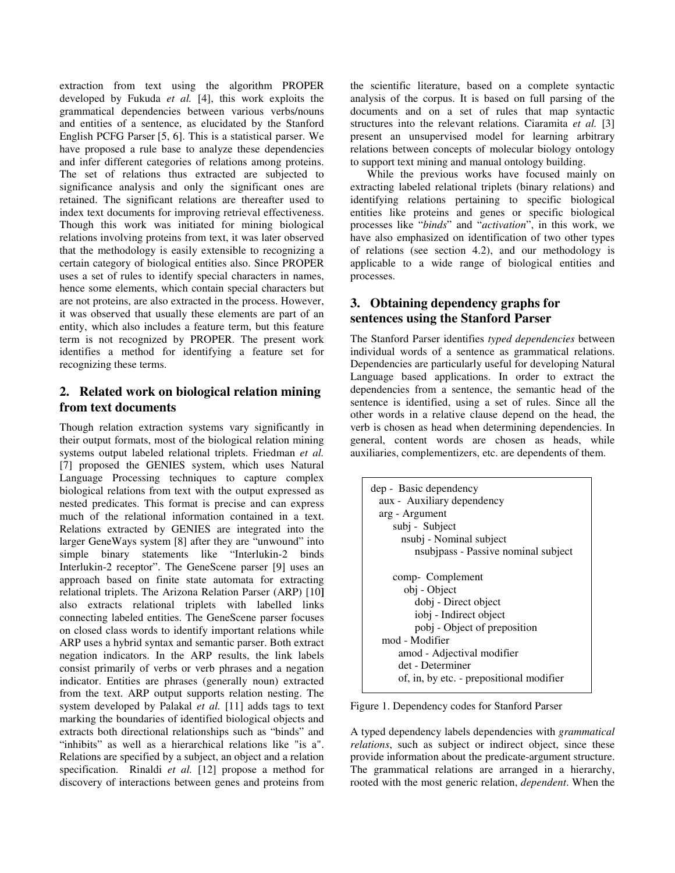extraction from text using the algorithm PROPER developed by Fukuda *et al.* [4], this work exploits the grammatical dependencies between various verbs/nouns and entities of a sentence, as elucidated by the Stanford English PCFG Parser [5, 6]. This is a statistical parser. We have proposed a rule base to analyze these dependencies and infer different categories of relations among proteins. The set of relations thus extracted are subjected to significance analysis and only the significant ones are retained. The significant relations are thereafter used to index text documents for improving retrieval effectiveness. Though this work was initiated for mining biological relations involving proteins from text, it was later observed that the methodology is easily extensible to recognizing a certain category of biological entities also. Since PROPER uses a set of rules to identify special characters in names, hence some elements, which contain special characters but are not proteins, are also extracted in the process. However, it was observed that usually these elements are part of an entity, which also includes a feature term, but this feature term is not recognized by PROPER. The present work identifies a method for identifying a feature set for recognizing these terms.

# **2. Related work on biological relation mining from text documents**

Though relation extraction systems vary significantly in their output formats, most of the biological relation mining systems output labeled relational triplets. Friedman *et al.* [7] proposed the GENIES system, which uses Natural Language Processing techniques to capture complex biological relations from text with the output expressed as nested predicates. This format is precise and can express much of the relational information contained in a text. Relations extracted by GENIES are integrated into the larger GeneWays system [8] after they are "unwound" into simple binary statements like "Interlukin-2 binds Interlukin-2 receptor". The GeneScene parser [9] uses an approach based on finite state automata for extracting relational triplets. The Arizona Relation Parser (ARP) [10**]** also extracts relational triplets with labelled links connecting labeled entities. The GeneScene parser focuses on closed class words to identify important relations while ARP uses a hybrid syntax and semantic parser. Both extract negation indicators. In the ARP results, the link labels consist primarily of verbs or verb phrases and a negation indicator. Entities are phrases (generally noun) extracted from the text. ARP output supports relation nesting. The system developed by Palakal *et al.* [11] adds tags to text marking the boundaries of identified biological objects and extracts both directional relationships such as "binds" and "inhibits" as well as a hierarchical relations like "is a". Relations are specified by a subject, an object and a relation specification. Rinaldi *et al.* [12] propose a method for discovery of interactions between genes and proteins from

the scientific literature, based on a complete syntactic analysis of the corpus. It is based on full parsing of the documents and on a set of rules that map syntactic structures into the relevant relations. Ciaramita *et al.* [3] present an unsupervised model for learning arbitrary relations between concepts of molecular biology ontology to support text mining and manual ontology building.

While the previous works have focused mainly on extracting labeled relational triplets (binary relations) and identifying relations pertaining to specific biological entities like proteins and genes or specific biological processes like "*binds*" and "*activation*", in this work, we have also emphasized on identification of two other types of relations (see section 4.2), and our methodology is applicable to a wide range of biological entities and processes.

# **3. Obtaining dependency graphs for sentences using the Stanford Parser**

The Stanford Parser identifies *typed dependencies* between individual words of a sentence as grammatical relations. Dependencies are particularly useful for developing Natural Language based applications. In order to extract the dependencies from a sentence, the semantic head of the sentence is identified, using a set of rules. Since all the other words in a relative clause depend on the head, the verb is chosen as head when determining dependencies. In general, content words are chosen as heads, while auxiliaries, complementizers, etc. are dependents of them.

| dep - Basic dependency                   |
|------------------------------------------|
| aux - Auxiliary dependency               |
| arg - Argument                           |
| subj - Subject                           |
| nsubj - Nominal subject                  |
| nsubjpass - Passive nominal subject      |
|                                          |
| comp- Complement                         |
| obj - Object                             |
| dobj - Direct object                     |
| iobj - Indirect object                   |
| pobj - Object of preposition             |
| mod - Modifier                           |
| amod - Adjectival modifier               |
| det - Determiner                         |
| of, in, by etc. - prepositional modifier |
|                                          |

Figure 1. Dependency codes for Stanford Parser

A typed dependency labels dependencies with *grammatical relations*, such as subject or indirect object, since these provide information about the predicate-argument structure. The grammatical relations are arranged in a hierarchy, rooted with the most generic relation, *dependent*. When the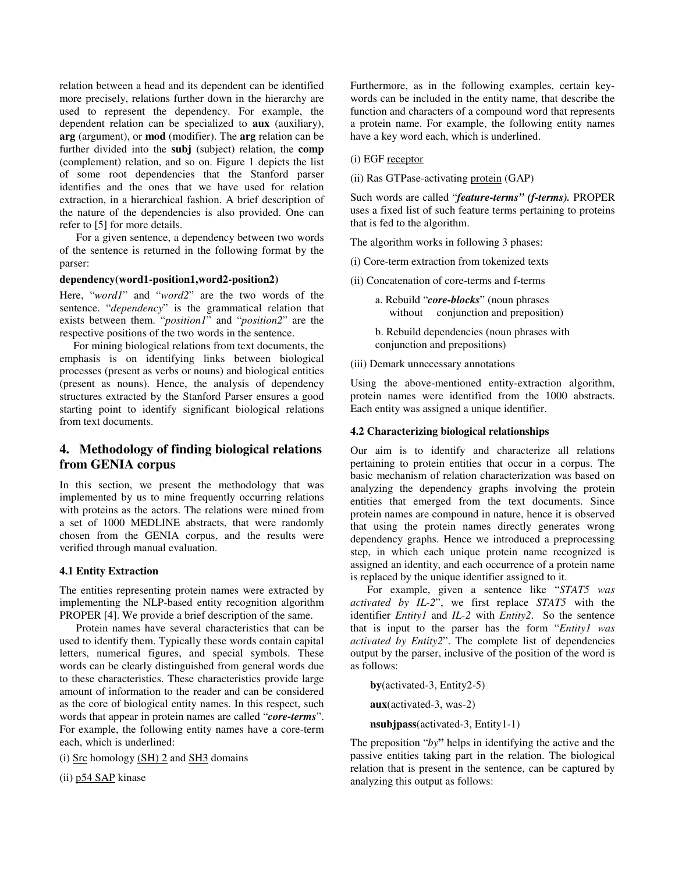relation between a head and its dependent can be identified more precisely, relations further down in the hierarchy are used to represent the dependency. For example, the dependent relation can be specialized to **aux** (auxiliary), **arg** (argument), or **mod** (modifier). The **arg** relation can be further divided into the **subj** (subject) relation, the **comp** (complement) relation, and so on. Figure 1 depicts the list of some root dependencies that the Stanford parser identifies and the ones that we have used for relation extraction, in a hierarchical fashion. A brief description of the nature of the dependencies is also provided. One can refer to [5] for more details.

For a given sentence, a dependency between two words of the sentence is returned in the following format by the parser:

#### **dependency(word1-position1,word2-position2)**

Here, "*word1*" and "*word2*" are the two words of the sentence. "*dependency*" is the grammatical relation that exists between them. "*position1*" and "*position2*" are the respective positions of the two words in the sentence.

For mining biological relations from text documents, the emphasis is on identifying links between biological processes (present as verbs or nouns) and biological entities (present as nouns). Hence, the analysis of dependency structures extracted by the Stanford Parser ensures a good starting point to identify significant biological relations from text documents.

## **4. Methodology of finding biological relations from GENIA corpus**

In this section, we present the methodology that was implemented by us to mine frequently occurring relations with proteins as the actors. The relations were mined from a set of 1000 MEDLINE abstracts, that were randomly chosen from the GENIA corpus, and the results were verified through manual evaluation.

#### **4.1 Entity Extraction**

The entities representing protein names were extracted by implementing the NLP-based entity recognition algorithm PROPER [4]. We provide a brief description of the same.

Protein names have several characteristics that can be used to identify them. Typically these words contain capital letters, numerical figures, and special symbols. These words can be clearly distinguished from general words due to these characteristics. These characteristics provide large amount of information to the reader and can be considered as the core of biological entity names. In this respect, such words that appear in protein names are called "*core-terms*". For example, the following entity names have a core-term each, which is underlined:

(i)  $Src$  homology  $(SH)$  2 and  $SH3$  domains

(ii) p54 SAP kinase

Furthermore, as in the following examples, certain keywords can be included in the entity name, that describe the function and characters of a compound word that represents a protein name. For example, the following entity names have a key word each, which is underlined.

(i) EGF receptor

(ii) Ras GTPase-activating protein (GAP)

Such words are called "*feature-terms" (f-terms).* PROPER uses a fixed list of such feature terms pertaining to proteins that is fed to the algorithm.

The algorithm works in following 3 phases:

(i) Core-term extraction from tokenized texts

(ii) Concatenation of core-terms and f-terms

a. Rebuild "*core-blocks*" (noun phrases without conjunction and preposition)

b. Rebuild dependencies (noun phrases with conjunction and prepositions)

(iii) Demark unnecessary annotations

Using the above-mentioned entity-extraction algorithm, protein names were identified from the 1000 abstracts. Each entity was assigned a unique identifier.

#### **4.2 Characterizing biological relationships**

Our aim is to identify and characterize all relations pertaining to protein entities that occur in a corpus. The basic mechanism of relation characterization was based on analyzing the dependency graphs involving the protein entities that emerged from the text documents. Since protein names are compound in nature, hence it is observed that using the protein names directly generates wrong dependency graphs. Hence we introduced a preprocessing step, in which each unique protein name recognized is assigned an identity, and each occurrence of a protein name is replaced by the unique identifier assigned to it.

For example, given a sentence like "*STAT5 was activated by IL-2*", we first replace *STAT5* with the identifier *Entity1* and *IL-2* with *Entity2*. So the sentence that is input to the parser has the form "*Entity1 was activated by Entity2*". The complete list of dependencies output by the parser, inclusive of the position of the word is as follows:

**by**(activated-3, Entity2-5)

**aux**(activated-3, was-2)

**nsubjpass**(activated-3, Entity1-1)

The preposition "*by***"** helps in identifying the active and the passive entities taking part in the relation. The biological relation that is present in the sentence, can be captured by analyzing this output as follows: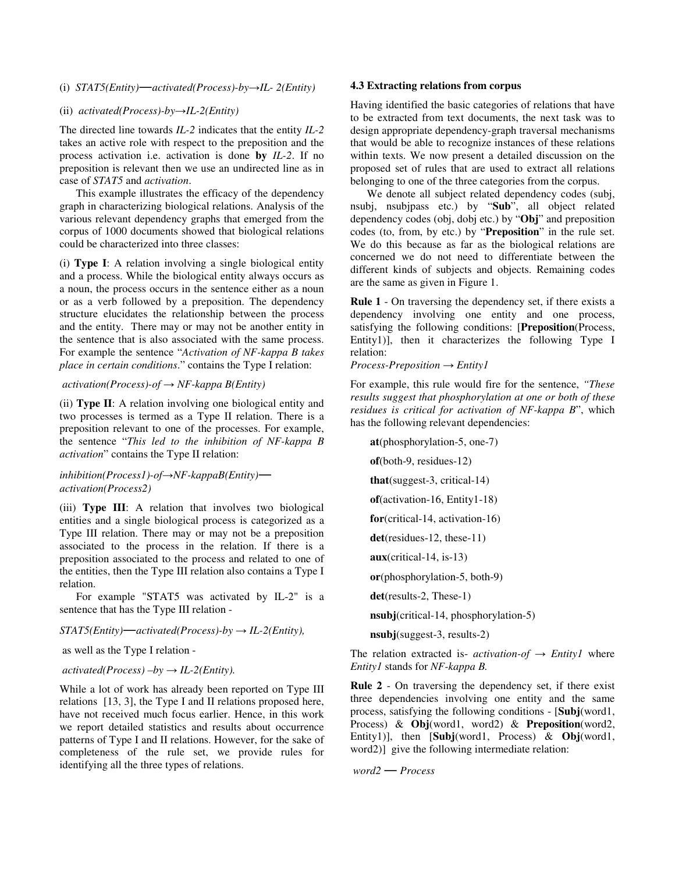(i)  $STAT5(Entity)$ *-activated(Process)-by-IL-2(Entity)* 

#### (ii) *activated(Process)-byIL-2(Entity)*

The directed line towards *IL-2* indicates that the entity *IL-2* takes an active role with respect to the preposition and the process activation i.e. activation is done **by** *IL-2*. If no preposition is relevant then we use an undirected line as in case of *STAT5* and *activation*.

This example illustrates the efficacy of the dependency graph in characterizing biological relations. Analysis of the various relevant dependency graphs that emerged from the corpus of 1000 documents showed that biological relations could be characterized into three classes:

(i) **Type I**: A relation involving a single biological entity and a process. While the biological entity always occurs as a noun, the process occurs in the sentence either as a noun or as a verb followed by a preposition. The dependency structure elucidates the relationship between the process and the entity. There may or may not be another entity in the sentence that is also associated with the same process. For example the sentence "*Activation of NF-kappa B takes place in certain conditions*." contains the Type I relation:

 $activation(Process) - of \rightarrow NF-kappa B(Entity)$ 

(ii) **Type II**: A relation involving one biological entity and two processes is termed as a Type II relation. There is a preposition relevant to one of the processes. For example, the sentence "*This led to the inhibition of NF-kappa B activation*" contains the Type II relation:

*inhibition(Process1)-of→NF-kappaB(Entity) activation(Process2)*

(iii) **Type III**: A relation that involves two biological entities and a single biological process is categorized as a Type III relation. There may or may not be a preposition associated to the process in the relation. If there is a preposition associated to the process and related to one of the entities, then the Type III relation also contains a Type I relation.

For example "STAT5 was activated by IL-2" is a sentence that has the Type III relation -

#### $STAT5(Entity)$ <sup>*m*</sup> *activated*(*Process*)-*by*  $\rightarrow$  *IL-2*(*Entity*),

as well as the Type I relation -

#### $activated(Process) - by \rightarrow IL-2(Entity).$

While a lot of work has already been reported on Type III relations [13, 3], the Type I and II relations proposed here, have not received much focus earlier. Hence, in this work we report detailed statistics and results about occurrence patterns of Type I and II relations. However, for the sake of completeness of the rule set, we provide rules for identifying all the three types of relations.

#### **4.3 Extracting relations from corpus**

Having identified the basic categories of relations that have to be extracted from text documents, the next task was to design appropriate dependency-graph traversal mechanisms that would be able to recognize instances of these relations within texts. We now present a detailed discussion on the proposed set of rules that are used to extract all relations belonging to one of the three categories from the corpus.

We denote all subject related dependency codes (subj, nsubj, nsubjpass etc.) by "**Sub**", all object related dependency codes (obj, dobj etc.) by "**Obj**" and preposition codes (to, from, by etc.) by "**Preposition**" in the rule set. We do this because as far as the biological relations are concerned we do not need to differentiate between the different kinds of subjects and objects. Remaining codes are the same as given in Figure 1.

**Rule 1** - On traversing the dependency set, if there exists a dependency involving one entity and one process, satisfying the following conditions: [**Preposition**(Process, Entity1)], then it characterizes the following Type I relation:

*Process-Preposition Entity1*

For example, this rule would fire for the sentence, *"These results suggest that phosphorylation at one or both of these residues is critical for activation of NF-kappa B*", which has the following relevant dependencies:

**at**(phosphorylation-5, one-7) **of**(both-9, residues-12) **that**(suggest-3, critical-14) **of**(activation-16, Entity1-18) **for**(critical-14, activation-16) **det**(residues-12, these-11) **aux**(critical-14, is-13) **or**(phosphorylation-5, both-9) **det**(results-2, These-1) **nsubj**(critical-14, phosphorylation-5)

**nsubj**(suggest-3, results-2)

The relation extracted is- *activation-of*  $\rightarrow$  *Entity1* where *Entity1* stands for *NF-kappa B.*

**Rule 2** - On traversing the dependency set, if there exist three dependencies involving one entity and the same process, satisfying the following conditions - [**Subj**(word1, Process) & **Obj**(word1, word2) & **Preposition**(word2, Entity1)], then [**Subj**(word1, Process) & **Obj**(word1, word2)] give the following intermediate relation:

*word2 Process*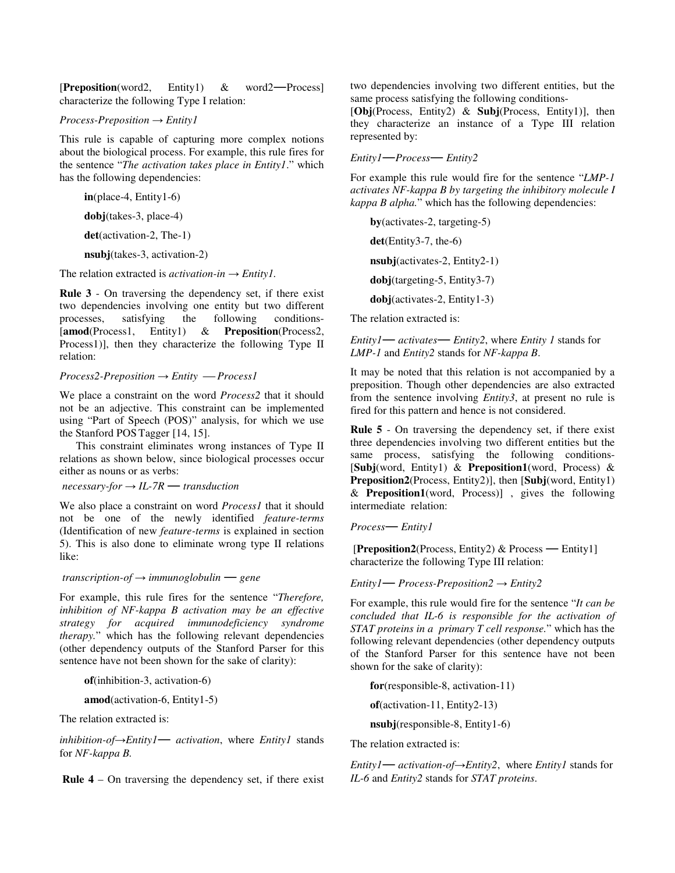[**Preposition**(word2, Entity1) & word2—Process] characterize the following Type I relation:

#### *Process-Preposition Entity1*

This rule is capable of capturing more complex notions about the biological process. For example, this rule fires for the sentence "*The activation takes place in Entity1*." which has the following dependencies:

**in**(place-4, Entity1-6) **dobj**(takes-3, place-4)

**det**(activation-2, The-1)

**nsubj**(takes-3, activation-2)

The relation extracted is *activation-in*  $\rightarrow$  *Entity1*.

**Rule 3** - On traversing the dependency set, if there exist two dependencies involving one entity but two different processes, satisfying the following conditions- [**amod**(Process1, Entity1) & **Preposition**(Process2, Process1)], then they characterize the following Type II relation:

#### $Process2-Preposition \rightarrow Entity \rightarrow Process1$

We place a constraint on the word *Process2* that it should not be an adjective. This constraint can be implemented using "Part of Speech (POS)" analysis, for which we use the Stanford POS Tagger [14, 15].

This constraint eliminates wrong instances of Type II relations as shown below, since biological processes occur either as nouns or as verbs:

 $necessary-for \rightarrow IL-7R$  *transduction* 

We also place a constraint on word *Process1* that it should not be one of the newly identified *feature-terms* (Identification of new *feature-terms* is explained in section 5). This is also done to eliminate wrong type II relations like:

*transcription-of*  $\rightarrow$  *immunoglobulin*  $\rightarrow$  *gene* 

For example, this rule fires for the sentence "*Therefore, inhibition of NF-kappa B activation may be an effective strategy for acquired immunodeficiency syndrome therapy.*" which has the following relevant dependencies (other dependency outputs of the Stanford Parser for this sentence have not been shown for the sake of clarity):

**of**(inhibition-3, activation-6)

**amod**(activation-6, Entity1-5)

The relation extracted is:

*inhibition-ofEntity1 activation*, where *Entity1* stands for *NF-kappa B.*

**Rule 4** – On traversing the dependency set, if there exist

two dependencies involving two different entities, but the same process satisfying the following conditions-

[**Obj**(Process, Entity2) & **Subj**(Process, Entity1)], then they characterize an instance of a Type III relation represented by:

*Entity1Process Entity2*

For example this rule would fire for the sentence "*LMP-1 activates NF-kappa B by targeting the inhibitory molecule I kappa B alpha.*" which has the following dependencies:

**by**(activates-2, targeting-5) **det**(Entity3-7, the-6) **nsubj**(activates-2, Entity2-1) **dobj**(targeting-5, Entity3-7) **dobj**(activates-2, Entity1-3)

The relation extracted is:

*Entity1 activates Entity2*, where *Entity <sup>1</sup>* stands for *LMP-1* and *Entity2* stands for *NF-kappa B*.

It may be noted that this relation is not accompanied by a preposition. Though other dependencies are also extracted from the sentence involving *Entity3*, at present no rule is fired for this pattern and hence is not considered.

**Rule 5** - On traversing the dependency set, if there exist three dependencies involving two different entities but the same process, satisfying the following conditions- [**Subj**(word, Entity1) & **Preposition1**(word, Process) & **Preposition2**(Process, Entity2)], then [**Subj**(word, Entity1) & **Preposition1**(word, Process)] , gives the following intermediate relation:

*Process Entity1*

[**Preposition2**(Process, Entity2) & Process — Entity1] characterize the following Type III relation:

*Entity1* — *Process-Preposition2*  $\rightarrow$  *Entity2* 

For example, this rule would fire for the sentence "*It can be concluded that IL-6 is responsible for the activation of STAT proteins in a primary T cell response.*" which has the following relevant dependencies (other dependency outputs of the Stanford Parser for this sentence have not been shown for the sake of clarity):

**for**(responsible-8, activation-11)

**of**(activation-11, Entity2-13)

**nsubj**(responsible-8, Entity1-6)

The relation extracted is:

*Entity1* — *activation-of*  $\rightarrow$  *Entity2*, where *Entity1* stands for *IL-6* and *Entity2* stands for *STAT proteins*.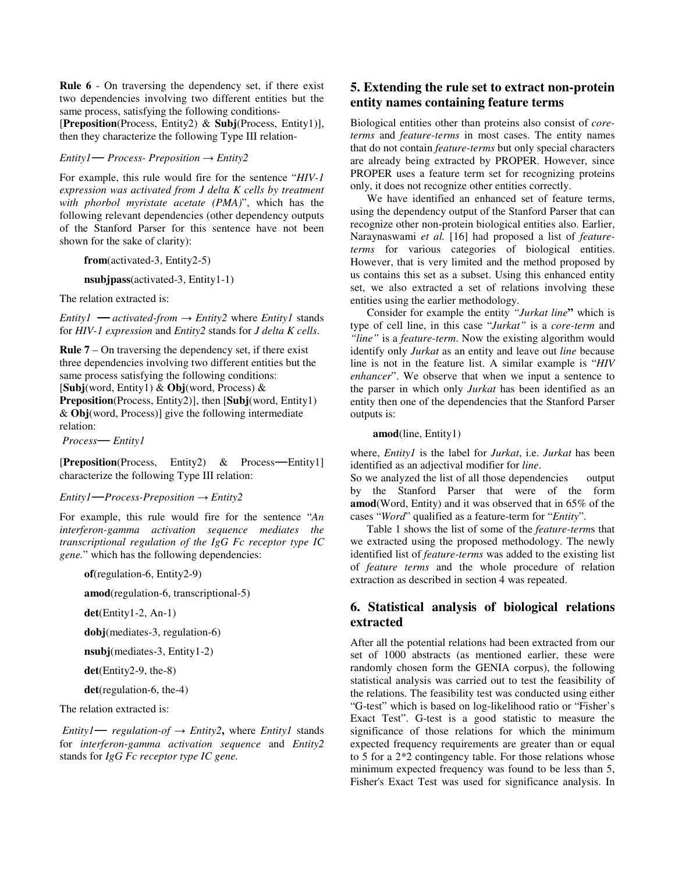**Rule 6** - On traversing the dependency set, if there exist two dependencies involving two different entities but the same process, satisfying the following conditions-

[**Preposition**(Process, Entity2) & **Subj**(Process, Entity1)], then they characterize the following Type III relation-

*Entity1* — *Process- Preposition*  $\rightarrow$  *Entity2* 

For example, this rule would fire for the sentence "*HIV-1 expression was activated from J delta K cells by treatment with phorbol myristate acetate (PMA)*", which has the following relevant dependencies (other dependency outputs of the Stanford Parser for this sentence have not been shown for the sake of clarity):

**from**(activated-3, Entity2-5)

**nsubjpass**(activated-3, Entity1-1)

The relation extracted is:

*Entity1* — *activated-from*  $\rightarrow$  *Entity2* where *Entity1* stands for *HIV-1 expression* and *Entity2* stands for *J delta K cells*.

**Rule 7** – On traversing the dependency set, if there exist three dependencies involving two different entities but the same process satisfying the following conditions: [**Subj**(word, Entity1) & **Obj**(word, Process) & **Preposition**(Process, Entity2)], then [**Subj**(word, Entity1) & **Obj**(word, Process)] give the following intermediate relation:

*Process Entity1*

**[Preposition**(Process, Entity2) & Process—Entity1] characterize the following Type III relation:

#### *Entity1Process-Preposition Entity2*

For example, this rule would fire for the sentence "*An interferon-gamma activation sequence mediates the transcriptional regulation of the IgG Fc receptor type IC gene.*" which has the following dependencies:

**of**(regulation-6, Entity2-9)

**amod**(regulation-6, transcriptional-5)

**det**(Entity1-2, An-1)

**dobj**(mediates-3, regulation-6)

**nsubj**(mediates-3, Entity1-2)

**det**(Entity2-9, the-8)

**det**(regulation-6, the-4)

The relation extracted is:

*Entity1* — *regulation-of*  $\rightarrow$  *Entity2*, where *Entity1* stands for *interferon-gamma activation sequence* and *Entity2* stands for *IgG Fc receptor type IC gene.*

## **5. Extending the rule set to extract non-protein entity names containing feature terms**

Biological entities other than proteins also consist of *coreterms* and *feature-terms* in most cases. The entity names that do not contain *feature-terms* but only special characters are already being extracted by PROPER. However, since PROPER uses a feature term set for recognizing proteins only, it does not recognize other entities correctly.

We have identified an enhanced set of feature terms, using the dependency output of the Stanford Parser that can recognize other non-protein biological entities also. Earlier, Naraynaswami *et al.* [16] had proposed a list of *featureterms* for various categories of biological entities. However, that is very limited and the method proposed by us contains this set as a subset. Using this enhanced entity set, we also extracted a set of relations involving these entities using the earlier methodology.

Consider for example the entity *"Jurkat line***"** which is type of cell line, in this case "*Jurkat"* is a *core-term* and *"line"* is a *feature-term*. Now the existing algorithm would identify only *Jurkat* as an entity and leave out *line* because line is not in the feature list. A similar example is "*HIV enhancer*". We observe that when we input a sentence to the parser in which only *Jurkat* has been identified as an entity then one of the dependencies that the Stanford Parser outputs is:

#### **amod**(line, Entity1)

where, *Entity1* is the label for *Jurkat*, i.e. *Jurkat* has been identified as an adjectival modifier for *line*.

So we analyzed the list of all those dependencies output by the Stanford Parser that were of the form **amod**(Word, Entity) and it was observed that in 65% of the cases "*Word*" qualified as a feature-term for "*Entity*".

Table 1 shows the list of some of the *feature-term*s that we extracted using the proposed methodology. The newly identified list of *feature-terms* was added to the existing list of *feature terms* and the whole procedure of relation extraction as described in section 4 was repeated.

## **6. Statistical analysis of biological relations extracted**

After all the potential relations had been extracted from our set of 1000 abstracts (as mentioned earlier, these were randomly chosen form the GENIA corpus), the following statistical analysis was carried out to test the feasibility of the relations. The feasibility test was conducted using either "G-test" which is based on log-likelihood ratio or "Fisher's Exact Test". G-test is a good statistic to measure the significance of those relations for which the minimum expected frequency requirements are greater than or equal to 5 for a 2\*2 contingency table. For those relations whose minimum expected frequency was found to be less than 5, Fisher's Exact Test was used for significance analysis. In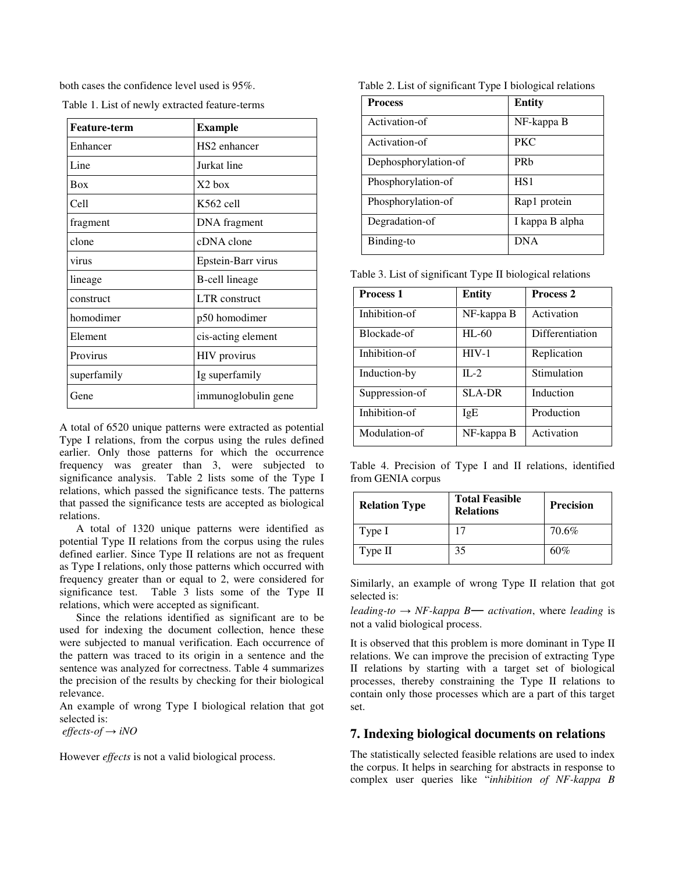both cases the confidence level used is 95%.

| <b>Feature-term</b> | <b>Example</b>           |
|---------------------|--------------------------|
| Enhancer            | HS <sub>2</sub> enhancer |
| Line                | Jurkat line              |
| <b>Box</b>          | $X2$ hox                 |
| Cell                | K562 cell                |
| fragment            | DNA fragment             |
| clone               | cDNA clone               |
| virus               | Epstein-Barr virus       |
| lineage             | B-cell lineage           |
| construct           | LTR construct            |
| homodimer           | p50 homodimer            |
| Element             | cis-acting element       |
| Provirus            | HIV provirus             |
| superfamily         | Ig superfamily           |
| Gene                | immunoglobulin gene      |

Table 1. List of newly extracted feature-terms

A total of 6520 unique patterns were extracted as potential Type I relations, from the corpus using the rules defined earlier. Only those patterns for which the occurrence frequency was greater than 3, were subjected to significance analysis. Table 2 lists some of the Type I relations, which passed the significance tests. The patterns that passed the significance tests are accepted as biological relations.

A total of 1320 unique patterns were identified as potential Type II relations from the corpus using the rules defined earlier. Since Type II relations are not as frequent as Type I relations, only those patterns which occurred with frequency greater than or equal to 2, were considered for significance test. Table 3 lists some of the Type II relations, which were accepted as significant.

Since the relations identified as significant are to be used for indexing the document collection, hence these were subjected to manual verification. Each occurrence of the pattern was traced to its origin in a sentence and the sentence was analyzed for correctness. Table 4 summarizes the precision of the results by checking for their biological relevance.

An example of wrong Type I biological relation that got selected is:

 $effects-of \rightarrow iNO$ 

However *effects* is not a valid biological process.

Table 2. List of significant Type I biological relations

| <b>Process</b>       | <b>Entity</b>   |
|----------------------|-----------------|
| Activation-of        | NF-kappa B      |
| Activation-of        | <b>PKC</b>      |
| Dephosphorylation-of | PR <sub>b</sub> |
| Phosphorylation-of   | HS1             |
| Phosphorylation-of   | Rap1 protein    |
| Degradation-of       | I kappa B alpha |
| Binding-to           | <b>DNA</b>      |

Table 3. List of significant Type II biological relations

| <b>Process 1</b> | <b>Entity</b> | <b>Process 2</b> |
|------------------|---------------|------------------|
| Inhibition-of    | NF-kappa B    | Activation       |
| Blockade-of      | $HL-60$       | Differentiation  |
| Inhibition-of    | $HIV-1$       | Replication      |
| Induction-by     | $\Pi - 2$     | Stimulation      |
| Suppression-of   | <b>SLA-DR</b> | Induction        |
| Inhibition-of    | IgE           | Production       |
| Modulation-of    | NF-kappa B    | Activation       |

Table 4. Precision of Type I and II relations, identified from GENIA corpus

| <b>Relation Type</b> | <b>Total Feasible</b><br><b>Relations</b> | <b>Precision</b> |
|----------------------|-------------------------------------------|------------------|
| Type I               |                                           | 70.6%            |
| Type II              | 35                                        | 60%              |

Similarly, an example of wrong Type II relation that got selected is:

*leading-to*  $\rightarrow$  *NF-kappa B*— *activation*, where *leading* is not a valid biological process.

It is observed that this problem is more dominant in Type II relations. We can improve the precision of extracting Type II relations by starting with a target set of biological processes, thereby constraining the Type II relations to contain only those processes which are a part of this target set.

## **7. Indexing biological documents on relations**

The statistically selected feasible relations are used to index the corpus. It helps in searching for abstracts in response to complex user queries like "*inhibition of NF-kappa B*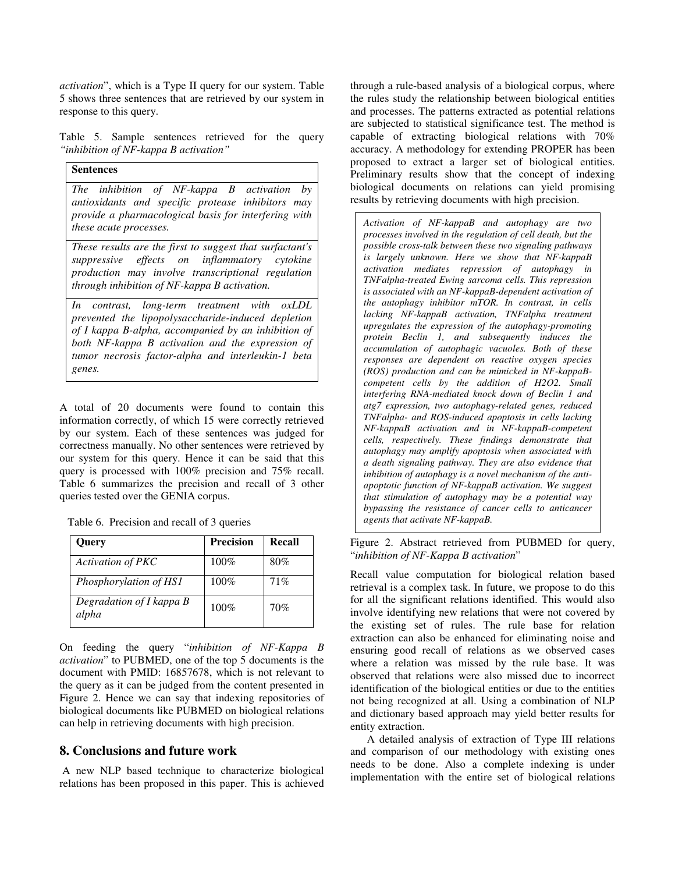*activation*", which is a Type II query for our system. Table 5 shows three sentences that are retrieved by our system in response to this query.

Table 5. Sample sentences retrieved for the query *"inhibition of NF-kappa B activation"*

**Sentences** *The inhibition of NF-kappa B activation by antioxidants and specific protease inhibitors may provide a pharmacological basis for interfering with these acute processes.*

*These results are the first to suggest that surfactant's suppressive effects on inflammatory cytokine production may involve transcriptional regulation through inhibition of NF-kappa B activation.*

*In contrast, long-term treatment with oxLDL prevented the lipopolysaccharide-induced depletion of I kappa B-alpha, accompanied by an inhibition of both NF-kappa B activation and the expression of tumor necrosis factor-alpha and interleukin-1 beta genes.*

A total of 20 documents were found to contain this information correctly, of which 15 were correctly retrieved by our system. Each of these sentences was judged for correctness manually. No other sentences were retrieved by our system for this query. Hence it can be said that this query is processed with 100% precision and 75% recall. Table 6 summarizes the precision and recall of 3 other queries tested over the GENIA corpus.

|  | Table 6. Precision and recall of 3 queries |  |  |  |  |
|--|--------------------------------------------|--|--|--|--|
|--|--------------------------------------------|--|--|--|--|

| Query                             | <b>Precision</b> | Recall |
|-----------------------------------|------------------|--------|
| <b>Activation of PKC</b>          | $100\%$          | 80%    |
| Phosphorylation of HS1            | 100%             | 71%    |
| Degradation of I kappa B<br>alpha | 100%             | 70%    |

On feeding the query "*inhibition of NF-Kappa B activation*" to PUBMED, one of the top 5 documents is the document with PMID: 16857678, which is not relevant to the query as it can be judged from the content presented in Figure 2. Hence we can say that indexing repositories of biological documents like PUBMED on biological relations can help in retrieving documents with high precision.

## **8. Conclusions and future work**

A new NLP based technique to characterize biological relations has been proposed in this paper. This is achieved through a rule-based analysis of a biological corpus, where the rules study the relationship between biological entities and processes. The patterns extracted as potential relations are subjected to statistical significance test. The method is capable of extracting biological relations with 70% accuracy. A methodology for extending PROPER has been proposed to extract a larger set of biological entities. Preliminary results show that the concept of indexing biological documents on relations can yield promising results by retrieving documents with high precision.

*Activation of NF-kappaB and autophagy are two processes involved in the regulation of cell death, but the possible cross-talk between these two signaling pathways is largely unknown. Here we show that NF-kappaB activation mediates repression of autophagy in TNFalpha-treated Ewing sarcoma cells. This repression is associated with an NF-kappaB-dependent activation of the autophagy inhibitor mTOR. In contrast, in cells lacking NF-kappaB activation, TNFalpha treatment upregulates the expression of the autophagy-promoting protein Beclin 1, and subsequently induces the accumulation of autophagic vacuoles. Both of these responses are dependent on reactive oxygen species (ROS) production and can be mimicked in NF-kappaBcompetent cells by the addition of H2O2. Small interfering RNA-mediated knock down of Beclin 1 and atg7 expression, two autophagy-related genes, reduced TNFalpha- and ROS-induced apoptosis in cells lacking NF-kappaB activation and in NF-kappaB-competent cells, respectively. These findings demonstrate that autophagy may amplify apoptosis when associated with a death signaling pathway. They are also evidence that inhibition of autophagy is a novel mechanism of the antiapoptotic function of NF-kappaB activation. We suggest that stimulation of autophagy may be a potential way bypassing the resistance of cancer cells to anticancer agents that activate NF-kappaB.*

Figure 2. Abstract retrieved from PUBMED for query, "*inhibition of NF-Kappa B activation*"

Recall value computation for biological relation based retrieval is a complex task. In future, we propose to do this for all the significant relations identified. This would also involve identifying new relations that were not covered by the existing set of rules. The rule base for relation extraction can also be enhanced for eliminating noise and ensuring good recall of relations as we observed cases where a relation was missed by the rule base. It was observed that relations were also missed due to incorrect identification of the biological entities or due to the entities not being recognized at all. Using a combination of NLP and dictionary based approach may yield better results for entity extraction.

A detailed analysis of extraction of Type III relations and comparison of our methodology with existing ones needs to be done. Also a complete indexing is under implementation with the entire set of biological relations